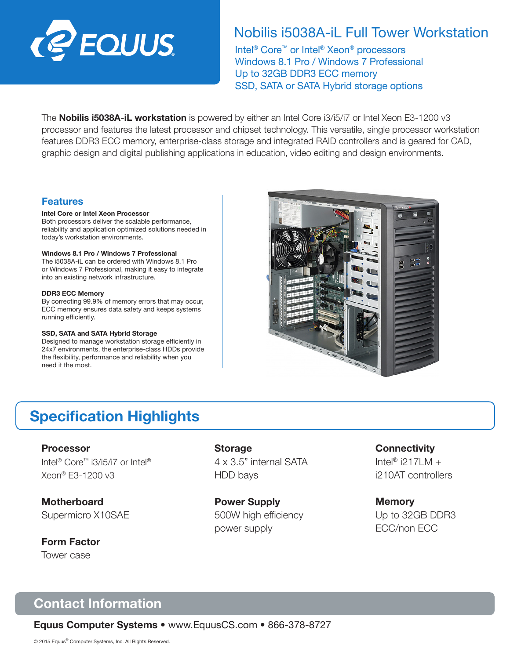

## Nobilis i5038A-iL Full Tower Workstation

Intel® Core™ or Intel® Xeon® processors Windows 8.1 Pro / Windows 7 Professional Up to 32GB DDR3 ECC memory SSD, SATA or SATA Hybrid storage options

The **Nobilis i5038A-iL workstation** is powered by either an Intel Core i3/i5/i7 or Intel Xeon E3-1200 v3 processor and features the latest processor and chipset technology. This versatile, single processor workstation features DDR3 ECC memory, enterprise-class storage and integrated RAID controllers and is geared for CAD, graphic design and digital publishing applications in education, video editing and design environments.

### Features

#### Intel Core or Intel Xeon Processor

Both processors deliver the scalable performance, reliability and application optimized solutions needed in today's workstation environments.

#### Windows 8.1 Pro / Windows 7 Professional

The i5038A-iL can be ordered with Windows 8.1 Pro or Windows 7 Professional, making it easy to integrate into an existing network infrastructure.

#### DDR3 ECC Memory

By correcting 99.9% of memory errors that may occur, ECC memory ensures data safety and keeps systems running efficiently.

#### SSD, SATA and SATA Hybrid Storage

Designed to manage workstation storage efficiently in 24x7 environments, the enterprise-class HDDs provide the flexibility, performance and reliability when you need it the most.



# Specification Highlights

Processor Intel® Core™ i3/i5/i7 or Intel® Xeon® E3-1200 v3

**Motherboard** Supermicro X10SAE

Form Factor Tower case

**Storage** 4 x 3.5" internal SATA HDD bays

Power Supply 500W high efficiency power supply

**Connectivity** 

Intel® i217LM  $+$ i210AT controllers

**Memory** Up to 32GB DDR3 ECC/non ECC

# Contact Information

Equus Computer Systems • www.EquusCS.com • 866-378-8727